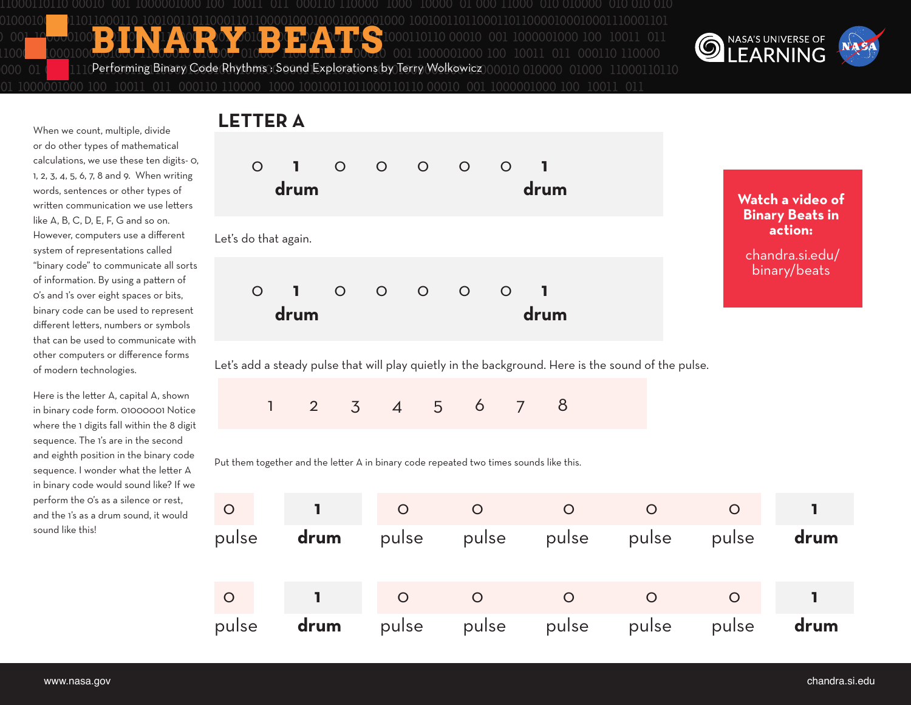010 010 11000110110 00010 001 1000001000 100 10011 011 000110 110000 1000 10000 01 000 11000 010 010000 010 010 010 010 010 0100010010011011000110 10010011011000110110000100010001000001000 10010011011000110110000100010001110001101 10 00010 001 1000001000 101000110110000100010001000001000 10010011011000110110 00010 001 1000001000 100 10011 011 001 1000001000 100 10011 011 000110 110000 000 01 <mark>000</mark>1110**Performing Binary Code Rhythms : Sound Explorations by Terry Wolkowicz** 00010 010000 01000 11000110110 00010 001 1000001000 100 10011 011 000110 110000 1000 10010011011000110110 00010 001 1000001000 100 10011 011 **BUNARY POST OF DESCRIPTION** 



When we count, multiple, divide or do other types of mathematical calculations, we use these ten digits- 0, 1, 2, 3, 4, 5, 6, 7, 8 and 9. When writing words, sentences or other types of written communication we use letters like A, B, C, D, E, F, G and so on. However, computers use a different system of representations called "binary code" to communicate all sorts of information. By using a pattern of 0's and 1's over eight spaces or bits, binary code can be used to represent different letters, numbers or symbols that can be used to communicate with other computers or difference forms of modern technologies.

Here is the letter A, capital A, shown in binary code form. 01000001 Notice where the 1 digits fall within the 8 digit sequence. The 1's are in the second and eighth position in the binary code sequence. I wonder what the letter A in binary code would sound like? If we perform the 0's as a silence or rest, and the 1's as a drum sound, it would sound like this!



Let's add a steady pulse that will play quietly in the background. Here is the sound of the pulse.

|  | $1 2 3 4 5 6 7 8$ |  |  |  |  |  |  |  |  |
|--|-------------------|--|--|--|--|--|--|--|--|
|--|-------------------|--|--|--|--|--|--|--|--|

Put them together and the letter A in binary code repeated two times sounds like this.

| $\overline{O}$ | $\overline{1}$ | $\circ$ | $\circ$ | $\circ$           |       | $\circ$ |      |
|----------------|----------------|---------|---------|-------------------|-------|---------|------|
| pulse          | drum           |         |         | pulse pulse pulse | pulse | pulse   | drum |
| $\circ$        | $\sqrt{1}$     | $\circ$ | $\circ$ | $\circ$           |       | $\circ$ |      |
| pulse          | drum           | pulse   | pulse   | pulse             | pulse | pulse   | drum |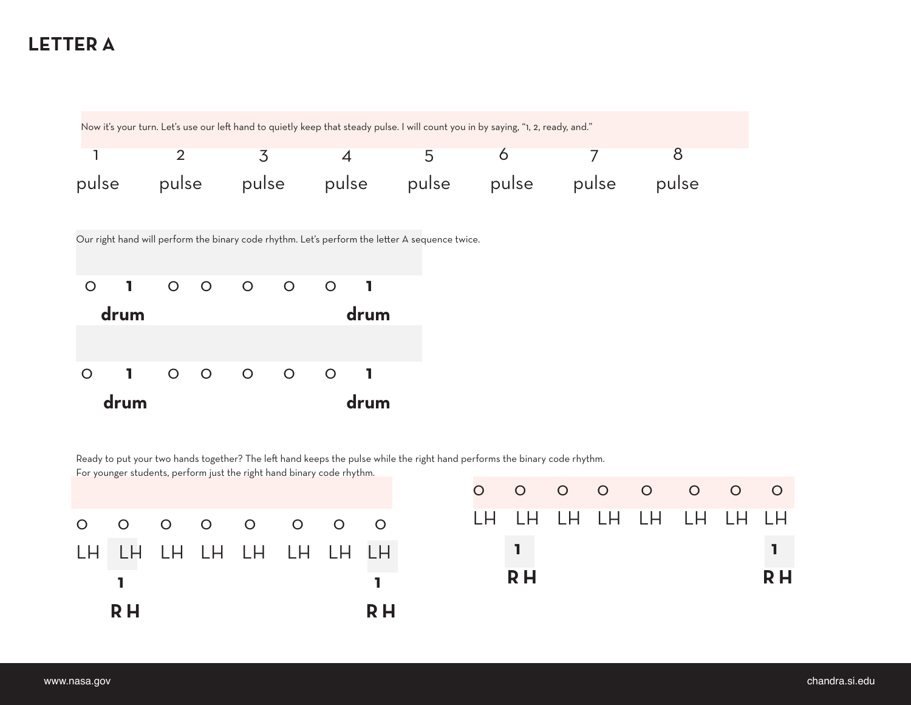## **LETTER A**



**drum drum**

Ready to put your two hands together? The left hand keeps the pulse while the right hand performs the binary code rhythm.

For younger students, perform just the right hand binary code rhythm. 0 0 0 0 0 0 0 0 LH LH LH LH LH LH LH LH **1 1 R H R H** 0 0 0 0 0 0 0 0 LH LH LH LH LH LH LH LH **1 1 R H R H**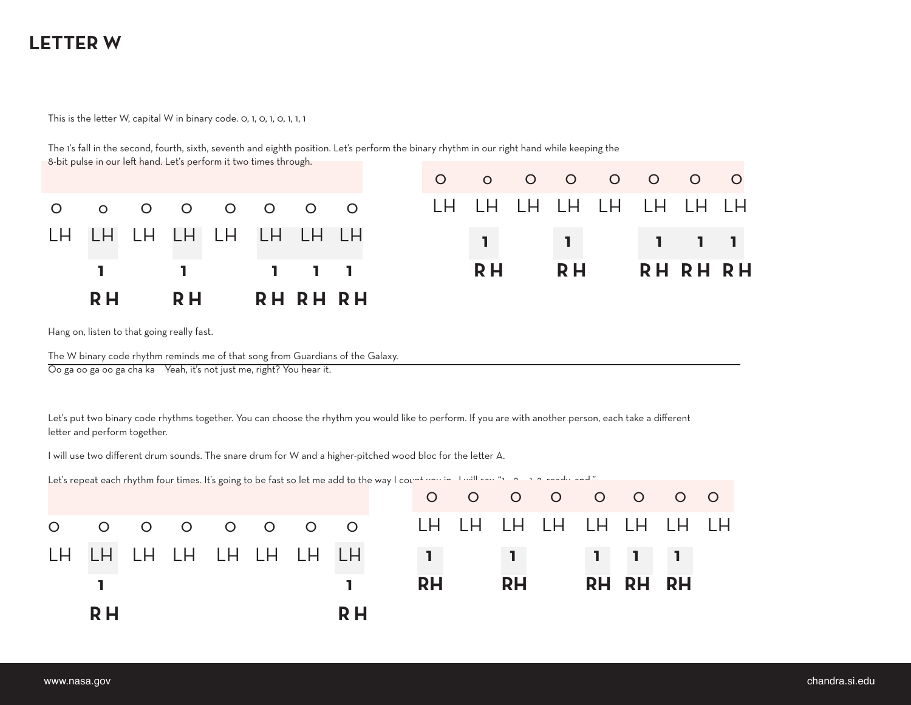## **LETTER W**

This is the letter W, capital W in binary code. 0, 1, 0, 1, 0, 1, 1, 1

The 1's fall in the second, fourth, sixth, seventh and eighth position. Let's perform the binary rhythm in our right hand while keeping the

8-bit pulse in our left hand. Let's perform it two times through.

| R H |  | RH RHRHRH                                                                                                                |  |  |     |                |                                                             |                                              |          |  |
|-----|--|--------------------------------------------------------------------------------------------------------------------------|--|--|-----|----------------|-------------------------------------------------------------|----------------------------------------------|----------|--|
|     |  | $1 \t1 \t1 \t1$                                                                                                          |  |  | R H | R H            |                                                             |                                              | RH RH RH |  |
|     |  | LH LH LH LH LH LH LH LH                                                                                                  |  |  |     | $\blacksquare$ |                                                             | $\begin{array}{ccc} & 1 & 1 & 1 \end{array}$ |          |  |
|     |  | $\begin{array}{ccccccccccccccccccccc} \circ & \circ & \circ & \circ & \circ & \circ & \circ & \circ & \circ \end{array}$ |  |  |     |                | LH LH LH LH LH LH LH LH                                     |                                              |          |  |
|     |  |                                                                                                                          |  |  |     |                | $\begin{matrix} 0 & 0 & 0 & 0 & 0 & 0 & 0 & 0 \end{matrix}$ |                                              |          |  |

Hang on, listen to that going really fast.

The W binary code rhythm reminds me of that song from Guardians of the Galaxy.

Oo ga oo ga oo ga cha ka Yeah, it's not just me, right? You hear it.

Let's put two binary code rhythms together. You can choose the rhythm you would like to perform. If you are with another person, each take a different letter and perform together.

I will use two different drum sounds. The snare drum for W and a higher-pitched wood bloc for the letter A.

|                |                |                                                       |                |                               | Let's repeat each rhythm four times. It's going to be fast so let me add to the way I count you in the Unit any that it are not and " |                |         |              |                                                       |                      |                |                               |  |
|----------------|----------------|-------------------------------------------------------|----------------|-------------------------------|---------------------------------------------------------------------------------------------------------------------------------------|----------------|---------|--------------|-------------------------------------------------------|----------------------|----------------|-------------------------------|--|
|                |                |                                                       |                |                               |                                                                                                                                       |                | $O$ $O$ |              | $\begin{array}{ccccccccc}\n0 & 0 & 0 & \n\end{array}$ |                      | $\overline{O}$ | $\overline{O}$ $\overline{O}$ |  |
| $\overline{O}$ | $\overline{O}$ | $\begin{array}{ccccccccc}\n0 & 0 & 0 & \n\end{array}$ | $\overline{O}$ | $\overline{O}$ $\overline{O}$ |                                                                                                                                       | <b>LH</b>      |         |              |                                                       | LH LH LH LH LH LH LH |                |                               |  |
| LН             | LH             | LH LH LH LH LH LH                                     |                |                               |                                                                                                                                       | $\blacksquare$ |         | $\mathbf{1}$ |                                                       | $\mathbf{1}$         | $\mathbf{1}$   | $\blacksquare$                |  |
|                |                |                                                       |                |                               |                                                                                                                                       | <b>RH</b>      |         | <b>RH</b>    |                                                       |                      | <b>RH RH</b>   | <b>RH</b>                     |  |
|                | R H            |                                                       |                |                               | R H                                                                                                                                   |                |         |              |                                                       |                      |                |                               |  |